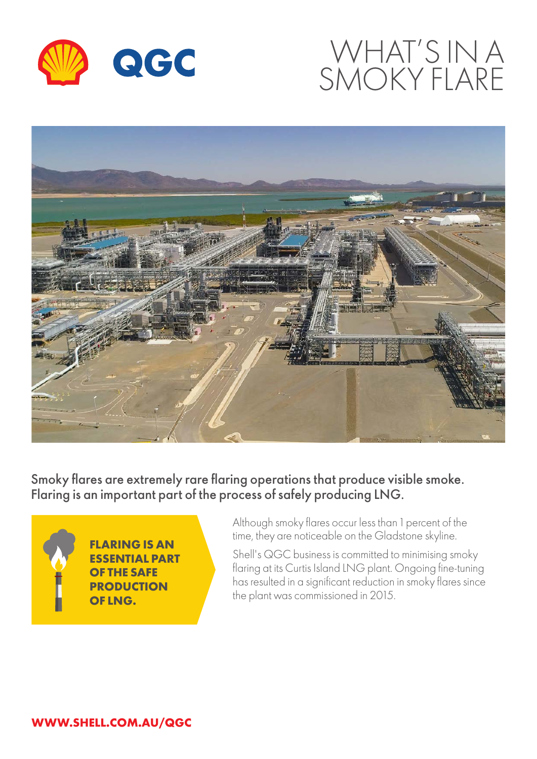

# WHAT'S IN A SMOKY FLARE



Smoky flares are extremely rare flaring operations that produce visible smoke. Flaring is an important part of the process of safely producing LNG.



**FLARING IS AN ESSENTIAL PART OF THE SAFE PRODUCTION OF LNG.**

Although smoky flares occur less than 1 percent of the time, they are noticeable on the Gladstone skyline.

Shell's QGC business is committed to minimising smoky flaring at its Curtis Island LNG plant. Ongoing fine-tuning has resulted in a significant reduction in smoky flares since the plant was commissioned in 2015.